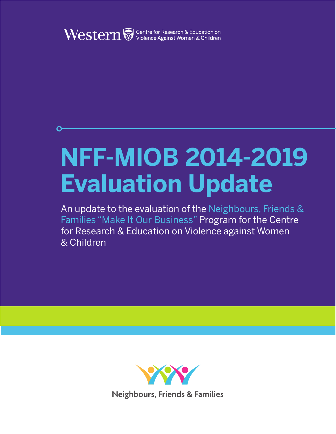

# **NFF-MIOB 2014-2019 Evaluation Update**

An update to the evaluation of the Neighbours, Friends & Families "Make It Our Business" Program for the Centre for Research & Education on Violence against Women & Children

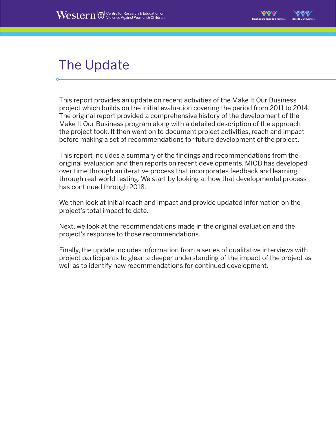

## The Update

This report provides an update on recent activities of the Make It Our Business project which builds on the initial evaluation covering the period from 2011 to 2014. The original report provided a comprehensive history of the development of the Make It Our Business program along with a detailed description of the approach the project took. It then went on to document project activities, reach and impact before making a set of recommendations for future development of the project.

This report includes a summary of the findings and recommendations from the original evaluation and then reports on recent developments. MIOB has developed over time through an iterative process that incorporates feedback and learning through real-world testing. We start by looking at how that developmental process has continued through 2018.

We then look at initial reach and impact and provide updated information on the project's total impact to date.

Next, we look at the recommendations made in the original evaluation and the project's response to those recommendations.

Finally, the update includes information from a series of qualitative interviews with project participants to glean a deeper understanding of the impact of the project as well as to identify new recommendations for continued development.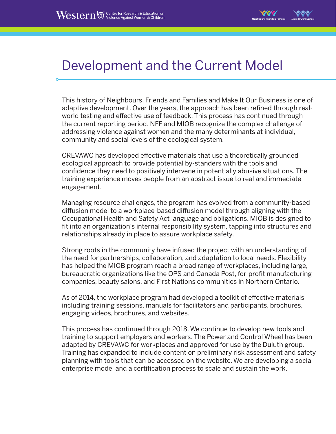

#### Development and the Current Model

This history of Neighbours, Friends and Families and Make It Our Business is one of adaptive development. Over the years, the approach has been refined through realworld testing and effective use of feedback. This process has continued through the current reporting period. NFF and MIOB recognize the complex challenge of addressing violence against women and the many determinants at individual, community and social levels of the ecological system.

CREVAWC has developed effective materials that use a theoretically grounded ecological approach to provide potential by-standers with the tools and confidence they need to positively intervene in potentially abusive situations. The training experience moves people from an abstract issue to real and immediate engagement.

Managing resource challenges, the program has evolved from a community-based diffusion model to a workplace-based diffusion model through aligning with the Occupational Health and Safety Act language and obligations. MIOB is designed to fit into an organization's internal responsibility system, tapping into structures and relationships already in place to assure workplace safety.

Strong roots in the community have infused the project with an understanding of the need for partnerships, collaboration, and adaptation to local needs. Flexibility has helped the MIOB program reach a broad range of workplaces, including large, bureaucratic organizations like the OPS and Canada Post, for-profit manufacturing companies, beauty salons, and First Nations communities in Northern Ontario.

As of 2014, the workplace program had developed a toolkit of effective materials including training sessions, manuals for facilitators and participants, brochures, engaging videos, brochures, and websites.

This process has continued through 2018. We continue to develop new tools and training to support employers and workers. The Power and Control Wheel has been adapted by CREVAWC for workplaces and approved for use by the Duluth group. Training has expanded to include content on preliminary risk assessment and safety planning with tools that can be accessed on the website. We are developing a social enterprise model and a certification process to scale and sustain the work.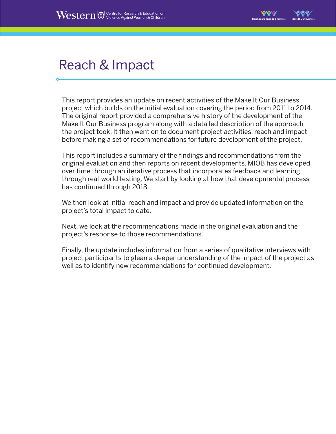

### Reach & Impact

This report provides an update on recent activities of the Make It Our Business project which builds on the initial evaluation covering the period from 2011 to 2014. The original report provided a comprehensive history of the development of the Make It Our Business program along with a detailed description of the approach the project took. It then went on to document project activities, reach and impact before making a set of recommendations for future development of the project.

This report includes a summary of the findings and recommendations from the original evaluation and then reports on recent developments. MIOB has developed over time through an iterative process that incorporates feedback and learning through real-world testing. We start by looking at how that developmental process has continued through 2018.

We then look at initial reach and impact and provide updated information on the project's total impact to date.

Next, we look at the recommendations made in the original evaluation and the project's response to those recommendations.

Finally, the update includes information from a series of qualitative interviews with project participants to glean a deeper understanding of the impact of the project as well as to identify new recommendations for continued development.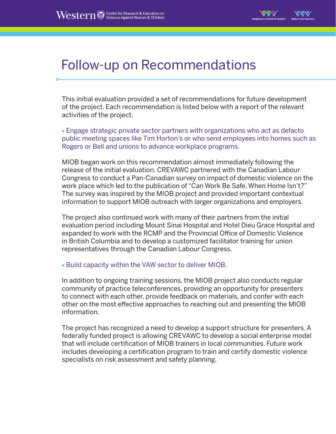

#### Follow-up on Recommendations

This initial evaluation provided a set of recommendations for future development of the project. Each recommendation is listed below with a report of the relevant activities of the project.

■ Engage strategic private sector partners with organizations who act as defacto public meeting spaces like Tim Horton's or who send employees into homes such as Rogers or Bell and unions to advance workplace programs.

MIOB began work on this recommendation almost immediately following the release of the initial evaluation. CREVAWC partnered with the Canadian Labour Congress to conduct a Pan-Canadian survey on impact of domestic violence on the work place which led to the publication of "Can Work Be Safe, When Home Isn't?" The survey was inspired by the MIOB project and provided important contextual information to support MIOB outreach with larger organizations and employers.

The project also continued work with many of their partners from the initial evaluation period including Mount Sinai Hospital and Hotel Dieu Grace Hospital and expanded to work with the RCMP and the Provincial Office of Domestic Violence in British Columbia and to develop a customized facilitator training for union representatives through the Canadian Labour Congress.

■ Build capacity within the VAW sector to deliver MIOB.

In addition to ongoing training sessions, the MIOB project also conducts regular community of practice teleconferences, providing an opportunity for presenters to connect with each other, provide feedback on materials, and confer with each other on the most effective approaches to reaching out and presenting the MIOB information.

The project has recognized a need to develop a support structure for presenters. A federally funded project is allowing CREVAWC to develop a social enterprise model that will include certification of MIOB trainers in local communities. Future work includes developing a certification program to train and certify domestic violence specialists on risk assessment and safety planning.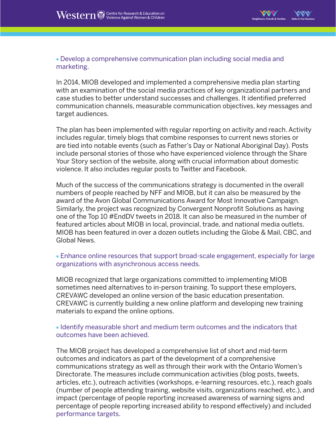

■ Develop a comprehensive communication plan including social media and marketing.

In 2014, MIOB developed and implemented a comprehensive media plan starting with an examination of the social media practices of key organizational partners and case studies to better understand successes and challenges. It identified preferred communication channels, measurable communication objectives, key messages and target audiences.

The plan has been implemented with regular reporting on activity and reach. Activity includes regular, timely blogs that combine responses to current news stories or are tied into notable events (such as Father's Day or National Aboriginal Day). Posts include personal stories of those who have experienced violence through the Share Your Story section of the website, along with crucial information about domestic violence. It also includes regular posts to Twitter and Facebook.

Much of the success of the communications strategy is documented in the overall numbers of people reached by NFF and MIOB, but it can also be measured by the award of the Avon Global Communications Award for Most Innovative Campaign. Similarly, the project was recognized by Convergent Nonprofit Solutions as having one of the Top 10 #EndDV tweets in 2018. It can also be measured in the number of featured articles about MIOB in local, provincial, trade, and national media outlets. MIOB has been featured in over a dozen outlets including the Globe & Mail, CBC, and Global News.

#### ■ Enhance online resources that support broad-scale engagement, especially for large organizations with asynchronous access needs.

MIOB recognized that large organizations committed to implementing MIOB sometimes need alternatives to in-person training. To support these employers, CREVAWC developed an online version of the basic education presentation. CREVAWC is currently building a new online platform and developing new training materials to expand the online options.

#### ■ Identify measurable short and medium term outcomes and the indicators that outcomes have been achieved.

The MIOB project has developed a comprehensive list of short and mid-term outcomes and indicators as part of the development of a comprehensive communications strategy as well as through their work with the Ontario Women's Directorate. The measures include communication activities (blog posts, tweets, articles, etc.), outreach activities (workshops, e-learning resources, etc.), reach goals (number of people attending training, website visits, organizations reached, etc.), and impact (percentage of people reporting increased awareness of warning signs and percentage of people reporting increased ability to respond effectively) and included performance targets.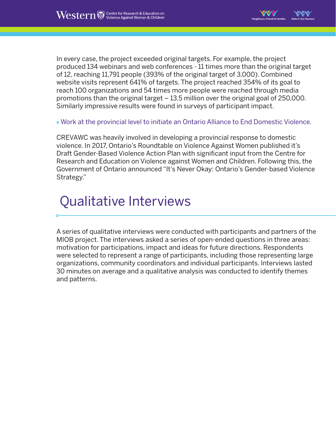In every case, the project exceeded original targets. For example, the project produced 134 webinars and web conferences - 11 times more than the original target of 12, reaching 11,791 people (393% of the original target of 3,000). Combined website visits represent 641% of targets. The project reached 354% of its goal to reach 100 organizations and 54 times more people were reached through media promotions than the original target – 13.5 million over the original goal of 250,000. Similarly impressive results were found in surveys of participant impact.

**Neighbours, Friends & Families Make It Our Business**

■ Work at the provincial level to initiate an Ontario Alliance to End Domestic Violence.

CREVAWC was heavily involved in developing a provincial response to domestic violence. In 2017, Ontario's Roundtable on Violence Against Women published it's Draft Gender-Based Violence Action Plan with significant input from the Centre for Research and Education on Violence against Women and Children. Following this, the Government of Ontario announced "It's Never Okay: Ontario's Gender-based Violence Strategy."

### Qualitative Interviews

A series of qualitative interviews were conducted with participants and partners of the MIOB project. The interviews asked a series of open-ended questions in three areas: motivation for participations, impact and ideas for future directions. Respondents were selected to represent a range of participants, including those representing large organizations, community coordinators and individual participants. Interviews lasted 30 minutes on average and a qualitative analysis was conducted to identify themes and patterns.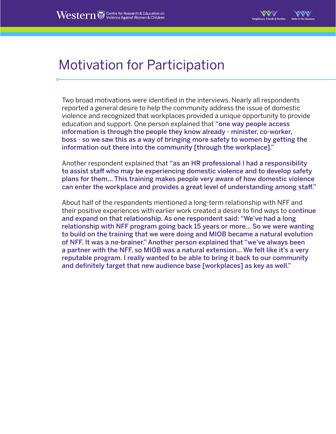#### Motivation for Participation

Two broad motivations were identified in the interviews. Nearly all respondents reported a general desire to help the community address the issue of domestic violence and recognized that workplaces provided a unique opportunity to provide education and support. One person explained that "one way people access information is through the people they know already - minister, co-worker, boss - so we saw this as a way of bringing more safety to women by getting the information out there into the community [through the workplace]."

Another respondent explained that "as an HR professional I had a responsibility to assist staff who may be experiencing domestic violence and to develop safety plans for them… This training makes people very aware of how domestic violence can enter the workplace and provides a great level of understanding among staff."

About half of the respondents mentioned a long-term relationship with NFF and their positive experiences with earlier work created a desire to find ways to continue and expand on that relationship. As one respondent said: "We've had a long relationship with NFF program going back 15 years or more… So we were wanting to build on the training that we were doing and MIOB became a natural evolution of NFF. It was a no-brainer." Another person explained that "we've always been a partner with the NFF, so MIOB was a natural extension… We felt like it's a very reputable program. I really wanted to be able to bring it back to our community and definitely target that new audience base [workplaces] as key as well."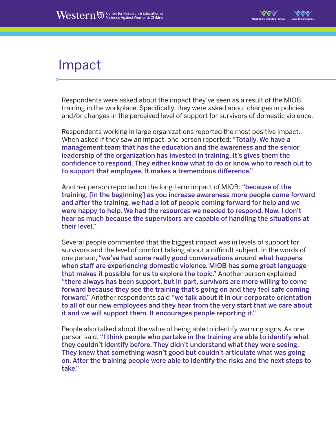

#### Impact

Respondents were asked about the impact they've seen as a result of the MIOB training in the workplace. Specifically, they were asked about changes in policies and/or changes in the perceived level of support for survivors of domestic violence.

Respondents working in large organizations reported the most positive impact. When asked if they saw an impact, one person reported: "Totally. We have a management team that has the education and the awareness and the senior leadership of the organization has invested in training. It's gives them the confidence to respond. They either know what to do or know who to reach out to to support that employee. It makes a tremendous difference."

Another person reported on the long-term impact of MIOB: "because of the training, [in the beginning] as you increase awareness more people come forward and after the training, we had a lot of people coming forward for help and we were happy to help. We had the resources we needed to respond. Now, I don't hear as much because the supervisors are capable of handling the situations at their level."

Several people commented that the biggest impact was in levels of support for survivors and the level of comfort talking about a difficult subject. In the words of one person, "we've had some really good conversations around what happens when staff are experiencing domestic violence. MIOB has some great language that makes it possible for us to explore the topic." Another person explained "there always has been support, but in part, survivors are more willing to come forward because they see the training that's going on and they feel safe coming forward." Another respondents said "we talk about it in our corporate orientation to all of our new employees and they hear from the very start that we care about it and we will support them. It encourages people reporting it."

People also talked about the value of being able to identify warning signs. As one person said. "I think people who partake in the training are able to identify what they couldn't identify before. They didn't understand what they were seeing. They knew that something wasn't good but couldn't articulate what was going on. After the training people were able to identify the risks and the next steps to take."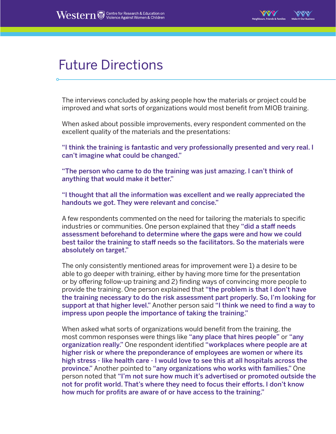

#### Future Directions

The interviews concluded by asking people how the materials or project could be improved and what sorts of organizations would most benefit from MIOB training.

When asked about possible improvements, every respondent commented on the excellent quality of the materials and the presentations:

"I think the training is fantastic and very professionally presented and very real. I can't imagine what could be changed."

"The person who came to do the training was just amazing. I can't think of anything that would make it better."

"I thought that all the information was excellent and we really appreciated the handouts we got. They were relevant and concise."

A few respondents commented on the need for tailoring the materials to specific industries or communities. One person explained that they "did a staff needs assessment beforehand to determine where the gaps were and how we could best tailor the training to staff needs so the facilitators. So the materials were absolutely on target."

The only consistently mentioned areas for improvement were 1) a desire to be able to go deeper with training, either by having more time for the presentation or by offering follow-up training and 2) finding ways of convincing more people to provide the training. One person explained that "the problem is that I don't have the training necessary to do the risk assessment part properly. So, I'm looking for support at that higher level." Another person said "I think we need to find a way to impress upon people the importance of taking the training."

When asked what sorts of organizations would benefit from the training, the most common responses were things like "any place that hires people" or "any organization really." One respondent identified "workplaces where people are at higher risk or where the preponderance of employees are women or where its high stress - like health care - I would love to see this at all hospitals across the province." Another pointed to "any organizations who works with families." One person noted that "I'm not sure how much it's advertised or promoted outside the not for profit world. That's where they need to focus their efforts. I don't know how much for profits are aware of or have access to the training."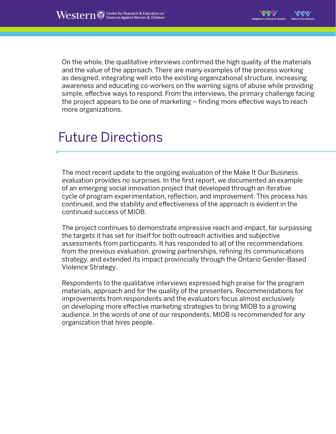**Neighbours, Friends & Families Make It Our Business**

On the whole, the qualitative interviews confirmed the high quality of the materials and the value of the approach. There are many examples of the process working as designed, integrating well into the existing organizational structure, increasing awareness and educating co-workers on the warning signs of abuse while providing simple, effective ways to respond. From the interviews, the primary challenge facing the project appears to be one of marketing – finding more effective ways to reach more organizations.

### Future Directions

The most recent update to the ongoing evaluation of the Make It Our Business evaluation provides no surprises. In the first report, we documented an example of an emerging social innovation project that developed through an iterative cycle of program experimentation, reflection, and improvement. This process has continued, and the stability and effectiveness of the approach is evident in the continued success of MIOB.

The project continues to demonstrate impressive reach and impact, far surpassing the targets it has set for itself for both outreach activities and subjective assessments from participants. It has responded to all of the recommendations from the previous evaluation, growing partnerships, refining its communications strategy, and extended its impact provincially through the Ontario Gender-Based Violence Strategy.

Respondents to the qualitative interviews expressed high praise for the program materials, approach and for the quality of the presenters. Recommendations for improvements from respondents and the evaluators focus almost exclusively on developing more effective marketing strategies to bring MIOB to a growing audience. In the words of one of our respondents, MIOB is recommended for any organization that hires people.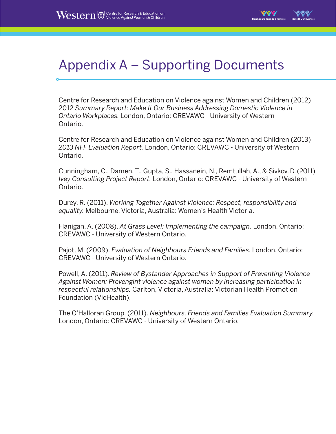

#### Appendix A – Supporting Documents

Centre for Research and Education on Violence against Women and Children (2012) 2012 *Summary Report: Make It Our Business Addressing Domestic Violence in Ontario Workplaces.* London, Ontario: CREVAWC - University of Western Ontario.

Centre for Research and Education on Violence against Women and Children (2013) *2013 NFF Evaluation Report.* London, Ontario: CREVAWC - University of Western Ontario.

Cunningham, C., Damen, T., Gupta, S., Hassanein, N., Remtullah, A., & Sivkov, D. (2011) *Ivey Consulting Project Report.* London, Ontario: CREVAWC - University of Western Ontario.

Durey, R. (2011). *Working Together Against Violence: Respect, responsibility and equality.* Melbourne, Victoria, Australia: Women's Health Victoria.

Flanigan, A. (2008). *At Grass Level: Implementing the campaign.* London, Ontario: CREVAWC - University of Western Ontario.

Pajot, M. (2009). *Evaluation of Neighbours Friends and Families.* London, Ontario: CREVAWC - University of Western Ontario.

Powell, A. (2011). *Review of Bystander Approaches in Support of Preventing Violence Against Women: Prevengint violence against women by increasing participation in respectful relationships.* Carlton, Victoria, Australia: Victorian Health Promotion Foundation (VicHealth).

The O'Halloran Group. (2011). *Neighbours, Friends and Families Evaluation Summary.*  London, Ontario: CREVAWC - University of Western Ontario.